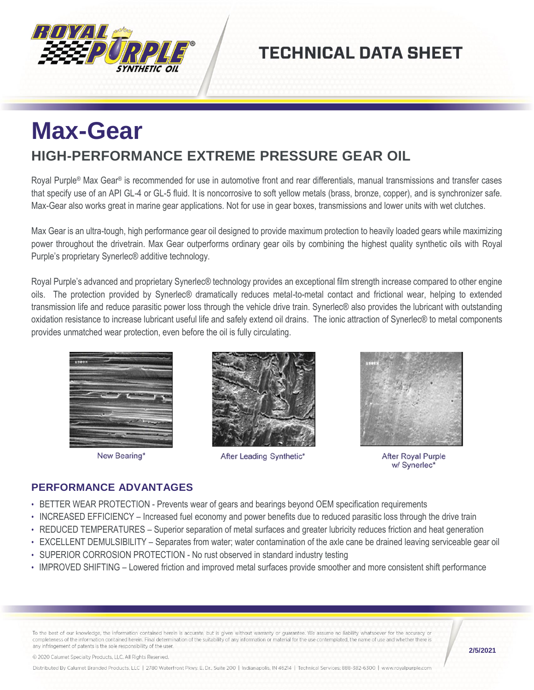

## **TECHNICAL DATA SHEET**

# **Max-Gear HIGH-PERFORMANCE EXTREME PRESSURE GEAR OIL**

Royal Purple® Max Gear® is recommended for use in automotive front and rear differentials, manual transmissions and transfer cases that specify use of an API GL-4 or GL-5 fluid. It is noncorrosive to soft yellow metals (brass, bronze, copper), and is synchronizer safe. Max-Gear also works great in marine gear applications. Not for use in gear boxes, transmissions and lower units with wet clutches.

Max Gear is an ultra-tough, high performance gear oil designed to provide maximum protection to heavily loaded gears while maximizing power throughout the drivetrain. Max Gear outperforms ordinary gear oils by combining the highest quality synthetic oils with Royal Purple's proprietary Synerlec® additive technology.

Royal Purple's advanced and proprietary Synerlec® technology provides an exceptional film strength increase compared to other engine oils. The protection provided by Synerlec® dramatically reduces metal-to-metal contact and frictional wear, helping to extended transmission life and reduce parasitic power loss through the vehicle drive train. Synerlec® also provides the lubricant with outstanding oxidation resistance to increase lubricant useful life and safely extend oil drains. The ionic attraction of Synerlec® to metal components provides unmatched wear protection, even before the oil is fully circulating.



New Bearing\*



After Leading Synthetic\*



**After Royal Purple** w/ Synerlec\*

#### **PERFORMANCE ADVANTAGES**

- BETTER WEAR PROTECTION Prevents wear of gears and bearings beyond OEM specification requirements
- INCREASED EFFICIENCY Increased fuel economy and power benefits due to reduced parasitic loss through the drive train
- REDUCED TEMPERATURES Superior separation of metal surfaces and greater lubricity reduces friction and heat generation
- EXCELLENT DEMULSIBILITY Separates from water; water contamination of the axle cane be drained leaving serviceable gear oil
- SUPERIOR CORROSION PROTECTION No rust observed in standard industry testing
- IMPROVED SHIFTING Lowered friction and improved metal surfaces provide smoother and more consistent shift performance

To the best of our knowledge, the information contained herein is accurate, but is given without warranty or guarantee. We assume no liability whatsoever for the accuracy or completeness of the information contained herein. Final determination of the suitability of any information or material for the use contemplated, the name of use and whether there is any infringement of patents is the sole responsibility of the user.

© 2020 Calumet Specialty Products, LLC, All Rights Reserved.

**2/5/2021**